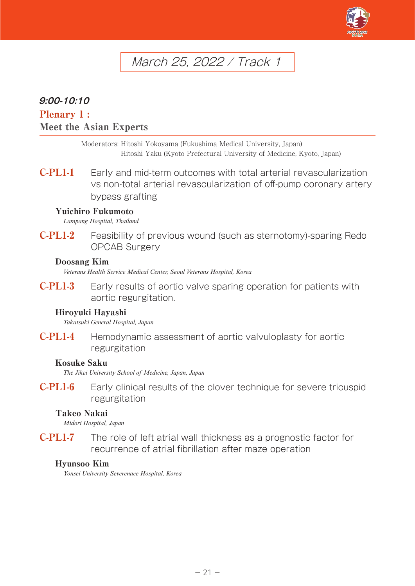

# March 25, 2022 / Track 1

# **9:00-10:10**

# Plenary 1 : Meet the Asian Experts

Moderators: Hitoshi Yokoyama (Fukushima Medical University, Japan) Hitoshi Yaku (Kyoto Prefectural University of Medicine, Kyoto, Japan)

C-PL1-1 Early and mid-term outcomes with total arterial revascularization vs non-total arterial revascularization of off-pump coronary artery bypass grafting

#### Yuichiro Fukumoto

*Lampang Hospital, Thailand*

C-PL1-2 Feasibility of previous wound (such as sternotomy)-sparing Redo OPCAB Surgery

#### Doosang Kim

*Veterans Health Service Medical Center, Seoul Veterans Hospital, Korea*

C-PL1-3 Early results of aortic valve sparing operation for patients with aortic regurgitation.

#### Hiroyuki Hayashi

*Takatsuki General Hospital, Japan*

C-PL1-4 Hemodynamic assessment of aortic valvuloplasty for aortic regurgitation

#### Kosuke Saku

*The Jikei University School of Medicine, Japan, Japan*

C-PL1-6 Early clinical results of the clover technique for severe tricuspid regurgitation

#### Takeo Nakai

*Midori Hospital, Japan*

C-PL1-7 The role of left atrial wall thickness as a prognostic factor for recurrence of atrial fibrillation after maze operation

#### Hyunsoo Kim

*Yonsei University Severenace Hospital, Korea*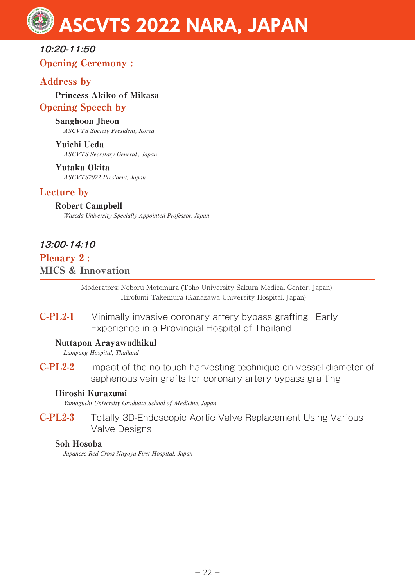# **10:20-11:50** Opening Ceremony :

# Address by

Princess Akiko of Mikasa Opening Speech by

#### Sanghoon Jheon

*ASCVTS Society President, Korea*

Yuichi Ueda *ASCVTS Secretary General , Japan*

Yutaka Okita *ASCVTS2022 President, Japan*

# Lecture by

Robert Campbell *Waseda University Specially Appointed Professor, Japan*

# **13:00-14:10**

Plenary 2 : MICS & Innovation

> Moderators: Noboru Motomura (Toho University Sakura Medical Center, Japan) Hirofumi Takemura (Kanazawa University Hospital, Japan)

C-PL2-1 Minimally invasive coronary artery bypass grafting: Early Experience in a Provincial Hospital of Thailand

#### Nuttapon Arayawudhikul

*Lampang Hospital, Thailand*

C-PL2-2 Impact of the no-touch harvesting technique on vessel diameter of saphenous vein grafts for coronary artery bypass grafting

#### Hiroshi Kurazumi

*Yamaguchi University Graduate School of Medicine, Japan*

C-PL2-3 Totally 3D-Endoscopic Aortic Valve Replacement Using Various Valve Designs

#### Soh Hosoba

*Japanese Red Cross Nagoya First Hospital, Japan*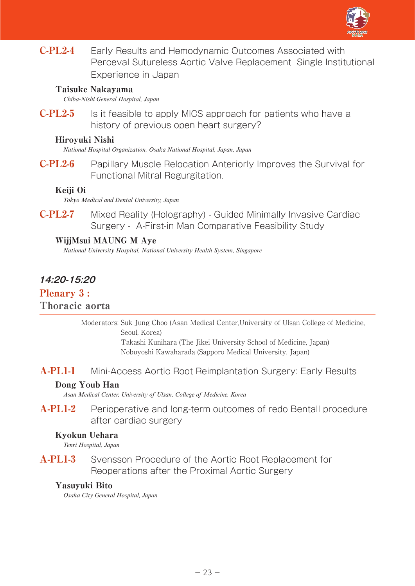

C-PL2-4 Early Results and Hemodynamic Outcomes Associated with Perceval Sutureless Aortic Valve Replacement Single Institutional Experience in Japan

#### Taisuke Nakayama

*Chiba-Nishi General Hospital, Japan*

**C-PL2-5** Is it feasible to apply MICS approach for patients who have a history of previous open heart surgery?

#### Hiroyuki Nishi

*National Hospital Organization, Osaka National Hospital, Japan, Japan*

C-PL2-6 Papillary Muscle Relocation Anteriorly Improves the Survival for Functional Mitral Regurgitation.

#### Keiji Oi

*Tokyo Medical and Dental University, Japan*

C-PL2-7 Mixed Reality (Holography) - Guided Minimally Invasive Cardiac Surgery - A-First-in Man Comparative Feasibility Study

#### WijjMsui MAUNG M Aye

*National University Hospital, National University Health System, Singapore*

# **14:20-15:20**

# Plenary 3 :

#### Thoracic aorta

Moderators: Suk Jung Choo (Asan Medical Center,University of Ulsan College of Medicine, Seoul, Korea)

Takashi Kunihara (The Jikei University School of Medicine, Japan) Nobuyoshi Kawaharada (Sapporo Medical University, Japan)

## A-PL1-1 Mini-Access Aortic Root Reimplantation Surgery: Early Results

#### Dong Youb Han

*Asan Medical Center, University of Ulsan, College of Medicine, Korea*

A-PL1-2 Perioperative and long-term outcomes of redo Bentall procedure after cardiac surgery

#### Kyokun Uehara

*Tenri Hospital, Japan*

A-PL1-3 Svensson Procedure of the Aortic Root Replacement for Reoperations after the Proximal Aortic Surgery

#### Yasuyuki Bito

*Osaka City General Hospital, Japan*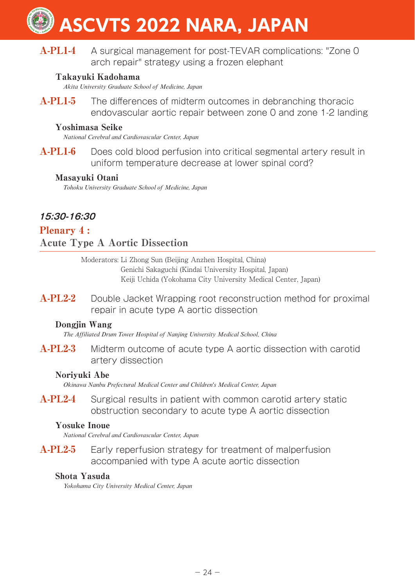# A-PL1-4 A surgical management for post-TEVAR complications: "Zone 0 arch repair" strategy using a frozen elephant

## Takayuki Kadohama

*Akita University Graduate School of Medicine, Japan*

A-PL1-5 The differences of midterm outcomes in debranching thoracic endovascular aortic repair between zone 0 and zone 1-2 landing

#### Yoshimasa Seike

*National Cerebral and Cardiovascular Center, Japan*

A-PL1-6 Does cold blood perfusion into critical segmental artery result in uniform temperature decrease at lower spinal cord?

#### Masayuki Otani

*Tohoku University Graduate School of Medicine, Japan*

# **15:30-16:30**

# Plenary 4 : Acute Type A Aortic Dissection

Moderators: Li Zhong Sun (Beijing Anzhen Hospital, China) Genichi Sakaguchi (Kindai University Hospital, Japan) Keiji Uchida (Yokohama City University Medical Center, Japan)

A-PL2-2 Double Jacket Wrapping root reconstruction method for proximal repair in acute type A aortic dissection

#### Dongiin Wang

*The Affiliated Drum Tower Hospital of Nanjing University Medical School, China*

A-PL2-3 Midterm outcome of acute type A aortic dissection with carotid artery dissection

#### Noriyuki Abe

*Okinawa Nanbu Prefectural Medical Center and Children's Medical Center, Japan*

A-PL2-4 Surgical results in patient with common carotid artery static obstruction secondary to acute type A aortic dissection

#### Yosuke Inoue

*National Cerebral and Cardiovascular Center, Japan*

A-PL2-5 Early reperfusion strategy for treatment of malperfusion accompanied with type A acute aortic dissection

#### Shota Yasuda

*Yokohama City University Medical Center, Japan*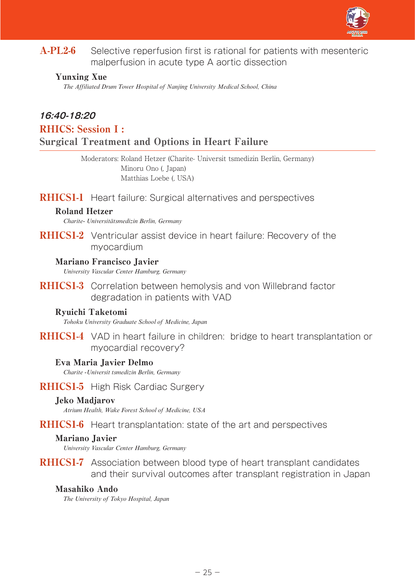

A-PL2-6 Selective reperfusion first is rational for patients with mesenteric malperfusion in acute type A aortic dissection

#### Yunxing Xue

*The Affiliated Drum Tower Hospital of Nanjing University Medical School, China*

# **16:40-18:20**

RHICS: Session I :

#### Surgical Treatment and Options in Heart Failure

Moderators: Roland Hetzer (Charite- Universit tsmedizin Berlin, Germany) Minoru Ono (, Japan) Matthias Loebe (, USA)

#### RHICS1-1 Heart failure: Surgical alternatives and perspectives

#### Roland Hetzer

*Charite- Universitätsmedizin Berlin, Germany*

**RHICS1-2** Ventricular assist device in heart failure: Recovery of the myocardium

#### Mariano Francisco Javier

*University Vascular Center Hamburg, Germany*

RHICS1-3 Correlation between hemolysis and von Willebrand factor degradation in patients with VAD

#### Ryuichi Taketomi

*Tohoku University Graduate School of Medicine, Japan*

**RHICS1-4** VAD in heart failure in children: bridge to heart transplantation or myocardial recovery?

#### Eva Maria Javier Delmo

*Charite -Universit tsmedizin Berlin, Germany*

#### RHICS1-5 High Risk Cardiac Surgery

#### Jeko Madjarov

*Atrium Health, Wake Forest School of Medicine, USA*

RHICS1-6 Heart transplantation: state of the art and perspectives

#### Mariano Javier

*University Vascular Center Hamburg, Germany*

RHICS1-7 Association between blood type of heart transplant candidates and their survival outcomes after transplant registration in Japan

#### Masahiko Ando

*The University of Tokyo Hospital, Japan*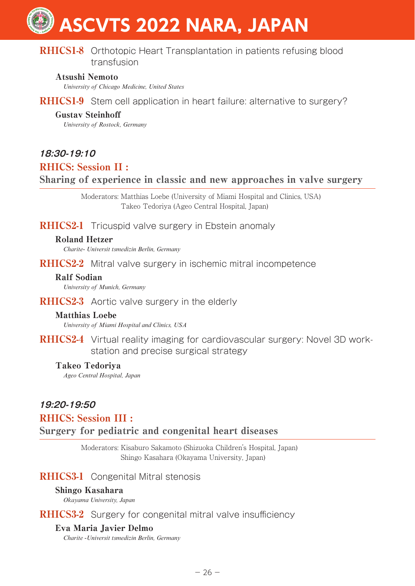# **RHICS1-8** Orthotopic Heart Transplantation in patients refusing blood transfusion

#### Atsushi Nemoto

*University of Chicago Medicine, United States*

RHICS1-9 Stem cell application in heart failure: alternative to surgery?

### Gustav Steinhoff

*University of Rostock, Germany*

# **18:30-19:10**

# RHICS: Session II :

# Sharing of experience in classic and new approaches in valve surgery

Moderators: Matthias Loebe (University of Miami Hospital and Clinics, USA) Takeo Tedoriya (Ageo Central Hospital, Japan)

**RHICS2-1** Tricuspid valve surgery in Ebstein anomaly

#### Roland Hetzer

*Charite- Universit tsmedizin Berlin, Germany*

**RHICS2-2** Mitral valve surgery in ischemic mitral incompetence

#### Ralf Sodian

*University of Munich, Germany*

RHICS2-3 Aortic valve surgery in the elderly

#### Matthias Loebe

*University of Miami Hospital and Clinics, USA*

RHICS2-4 Virtual reality imaging for cardiovascular surgery: Novel 3D workstation and precise surgical strategy

#### Takeo Tedoriya

*Ageo Central Hospital, Japan*

# **19:20-19:50**

# RHICS: Session III :

Surgery for pediatric and congenital heart diseases

Moderators: Kisaburo Sakamoto (Shizuoka Children's Hospital, Japan) Shingo Kasahara (Okayama University, Japan)

# RHICS3-1 Congenital Mitral stenosis

#### Shingo Kasahara

*Okayama University, Japan*

**RHICS3-2** Surgery for congenital mitral valve insufficiency

#### Eva Maria Javier Delmo

*Charite -Universit tsmedizin Berlin, Germany*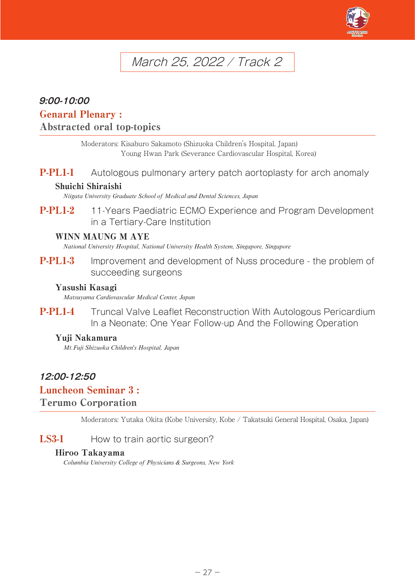

# March 25, 2022 / Track 2

# **9:00-10:00**

# Genaral Plenary :

# Abstracted oral top-topics

Moderators: Kisaburo Sakamoto (Shizuoka Children's Hospital, Japan) Young Hwan Park (Severance Cardiovascular Hospital, Korea)

**P-PL1-1** Autologous pulmonary artery patch aortoplasty for arch anomaly

#### Shuichi Shiraishi

*Niigata University Graduate School of Medical and Dental Sciences, Japan*

P-PL1-2 11-Years Paediatric ECMO Experience and Program Development in a Tertiary-Care Institution

#### WINN MAUNG M AYE

*National University Hospital, National University Health System, Singapore, Singapore*

**P-PL1-3** Improvement and development of Nuss procedure - the problem of succeeding surgeons

#### Yasushi Kasagi

*Matsuyama Cardiovascular Medical Center, Japan*

P-PL1-4 Truncal Valve Leaflet Reconstruction With Autologous Pericardium In a Neonate; One Year Follow-up And the Following Operation

#### Yuji Nakamura

*Mt.Fuji Shizuoka Children's Hospital, Japan*

# **12:00-12:50**

# Luncheon Seminar 3 :

#### Terumo Corporation

Moderators: Yutaka Okita (Kobe University, Kobe / Takatsuki General Hospital, Osaka, Japan)

#### LS3-1 How to train aortic surgeon?

#### Hiroo Takayama

*Columbia University College of Physicians & Surgeons, New York*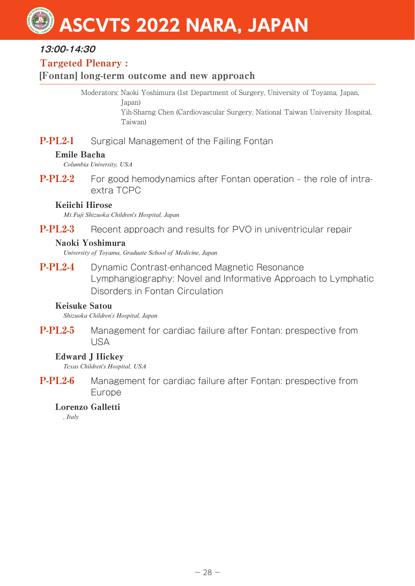# **13:00-14:30**

# Targeted Plenary :

# [Fontan] long-term outcome and new approach

Moderators: Naoki Yoshimura (1st Department of Surgery, University of Toyama, Japan,

Japan)

Yih-Sharng Chen (Cardiovascular Surgery, National Taiwan University Hospital, Taiwan)

# **P-PL2-1** Surgical Management of the Failing Fontan

## Emile Bacha

*Columbia University, USA*

**P-PL2-2** For good hemodynamics after Fontan operation – the role of intraextra TCPC

# Keiichi Hirose

*Mt.Fuji Shizuoka Children's Hospital, Japan*

**P-PL2-3** Recent approach and results for PVO in univentricular repair

## Naoki Yoshimura

*University of Toyama, Graduate School of Medicine, Japan*

P-PL2-4 Dynamic Contrast-enhanced Magnetic Resonance Lymphangiography: Novel and Informative Approach to Lymphatic Disorders in Fontan Circulation

#### Keisuke Satou

*Shizuoka Children's Hospital, Japan*

**P-PL2-5** Management for cardiac failure after Fontan: prespective from USA

# Edward J Hickey

*Texas Children's Hospital, USA*

P-PL2-6 Management for cardiac failure after Fontan: prespective from Europe

# Lorenzo Galletti

*, Italy*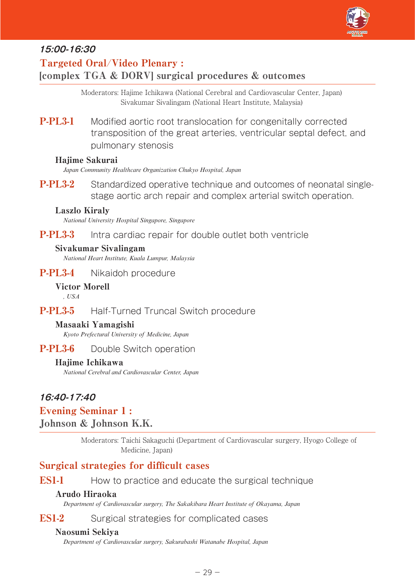

# **15:00-16:30**

# Targeted Oral/Video Plenary : [complex TGA & DORV] surgical procedures & outcomes

Moderators: Hajime Ichikawa (National Cerebral and Cardiovascular Center, Japan) Sivakumar Sivalingam (National Heart Institute, Malaysia)

**P-PL3-1** Modified aortic root translocation for congenitally corrected transposition of the great arteries, ventricular septal defect, and pulmonary stenosis

#### Hajime Sakurai

*Japan Community Healthcare Organization Chukyo Hospital, Japan*

**P-PL3-2** Standardized operative technique and outcomes of neonatal singlestage aortic arch repair and complex arterial switch operation.

#### Laszlo Kiraly

*National University Hospital Singapore, Singapore*

#### **P-PL3-3** Intra cardiac repair for double outlet both ventricle

#### Sivakumar Sivalingam

*National Heart Institute, Kuala Lumpur, Malaysia*

P-PL3-4 Nikaidoh procedure

#### Victor Morell

*, USA*

# P-PL3-5 Half-Turned Truncal Switch procedure

#### Masaaki Yamagishi

*Kyoto Prefectural University of Medicine, Japan*

### **P-PL3-6** Double Switch operation

#### Hajime Ichikawa

*National Cerebral and Cardiovascular Center, Japan*

# **16:40-17:40**

#### Evening Seminar 1 :

#### Johnson & Johnson K.K.

Moderators: Taichi Sakaguchi (Department of Cardiovascular surgery, Hyogo College of Medicine, Japan)

# Surgical strategies for difficult cases

**ES1-1** How to practice and educate the surgical technique

#### Arudo Hiraoka

*Department of Cardiovascular surgery, The Sakakibara Heart Institute of Okayama, Japan*

#### ES1-2 Surgical strategies for complicated cases

#### Naosumi Sekiya

*Department of Cardiovascular surgery, Sakurabashi Watanabe Hospital, Japan*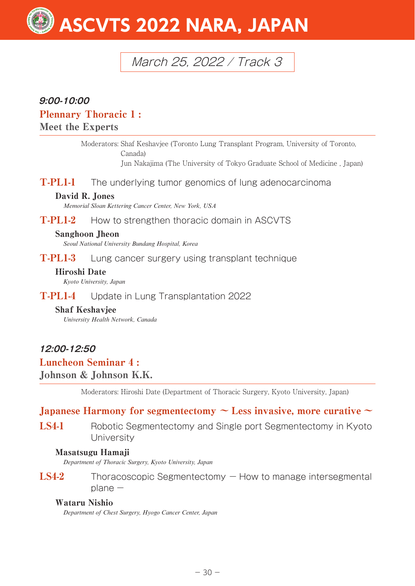# March 25, 2022 / Track 3

# **9:00-10:00**

### Plennary Thoracic 1 :

## Meet the Experts

Moderators: Shaf Keshavjee (Toronto Lung Transplant Program, University of Toronto, Canada) Jun Nakajima (The University of Tokyo Graduate School of Medicine , Japan)

T-PL1-1 The underlying tumor genomics of lung adenocarcinoma

#### David R. Jones

*Memorial Sloan Kettering Cancer Center, New York, USA*

T-PL1-2 How to strengthen thoracic domain in ASCVTS

#### Sanghoon Jheon

*Seoul National University Bundang Hospital, Korea*

T-PL1-3 Lung cancer surgery using transplant technique

#### Hiroshi Date

*Kyoto University, Japan*

T-PL1-4 Update in Lung Transplantation 2022

#### Shaf Keshavjee

*University Health Network, Canada*

# **12:00-12:50**

# Luncheon Seminar 4 :

# Johnson & Johnson K.K.

Moderators: Hiroshi Date (Department of Thoracic Surgery, Kyoto University, Japan)

# Japanese Harmony for segmentectomy  $\sim$  Less invasive, more curative  $\sim$

LS4-1 Robotic Segmentectomy and Single port Segmentectomy in Kyoto **University** 

#### Masatsugu Hamaji

*Department of Thoracic Surgery, Kyoto University, Japan*

 $LS4-2$  Thoracoscopic Segmentectomy  $-$  How to manage intersegmental  $plane -$ 

#### Wataru Nishio

*Department of Chest Surgery, Hyogo Cancer Center, Japan*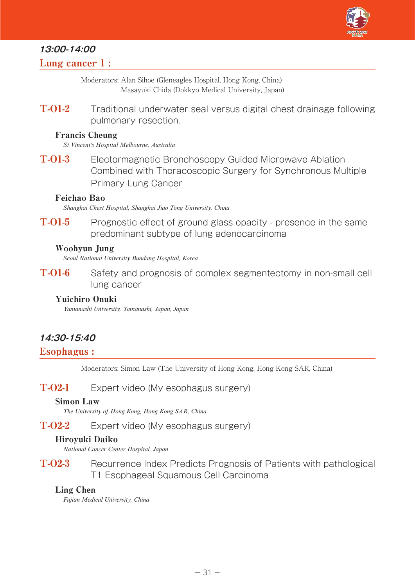

# **13:00-14:00**

## Lung cancer 1 :

Moderators: Alan Sihoe (Gleneagles Hospital, Hong Kong, China) Masayuki Chida (Dokkyo Medical University, Japan)

T-01-2 Traditional underwater seal versus digital chest drainage following pulmonary resection.

#### Francis Cheung

*St Vincent's Hospital Melbourne, Australia*

T-O1-3 Electormagnetic Bronchoscopy Guided Microwave Ablation Combined with Thoracoscopic Surgery for Synchronous Multiple Primary Lung Cancer

#### Feichao Bao

*Shanghai Chest Hospital, Shanghai Jiao Tong University, China*

T-01-5 Prognostic effect of ground glass opacity - presence in the same predominant subtype of lung adenocarcinoma

#### Woohyun Jung

*Seoul National University Bundang Hospital, Korea*

T-O1-6 Safety and prognosis of complex segmentectomy in non-small cell lung cancer

#### Yuichiro Onuki

*Yamanashi University, Yamanashi, Japan, Japan*

# **14:30-15:40**

#### Esophagus :

Moderators: Simon Law (The University of Hong Kong, Hong Kong SAR, China)

#### T-02-1 Expert video (My esophagus surgery)

#### Simon Law

*The University of Hong Kong, Hong Kong SAR, China*

#### T-O2-2 Expert video (My esophagus surgery)

#### Hiroyuki Daiko

*National Cancer Center Hospital, Japan*

T-O2-3 Recurrence Index Predicts Prognosis of Patients with pathological T1 Esophageal Squamous Cell Carcinoma

#### Ling Chen

*Fujian Medical University, China*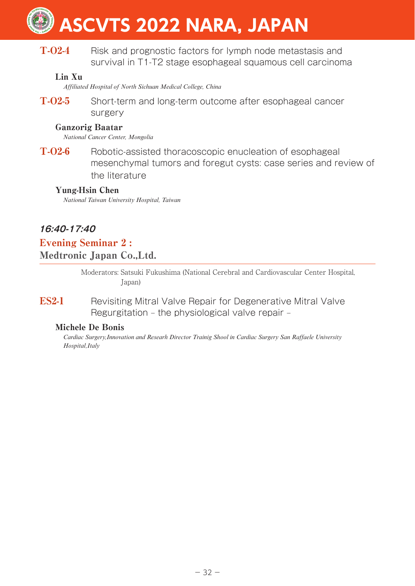T-O2-4 Risk and prognostic factors for lymph node metastasis and survival in T1-T2 stage esophageal squamous cell carcinoma

### Lin Xu

*Affiliated Hospital of North Sichuan Medical College, China*

T-O2-5 Short-term and long-term outcome after esophageal cancer surgery

#### Ganzorig Baatar

*National Cancer Center, Mongolia*

T-O2-6 Robotic-assisted thoracoscopic enucleation of esophageal mesenchymal tumors and foregut cysts: case series and review of the literature

#### Yung-Hsin Chen

*National Taiwan University Hospital, Taiwan*

# **16:40-17:40**

Evening Seminar 2 : Medtronic Japan Co.,Ltd.

> Moderators: Satsuki Fukushima (National Cerebral and Cardiovascular Center Hospital, Japan)

**ES2-1** Revisiting Mitral Valve Repair for Degenerative Mitral Valve Regurgitation – the physiological valve repair –

#### Michele De Bonis

*Cardiac Surgery,Innovation and Researh Director Trainig Shool in Cardiac Surgery San Raffaele University Hospital,Italy*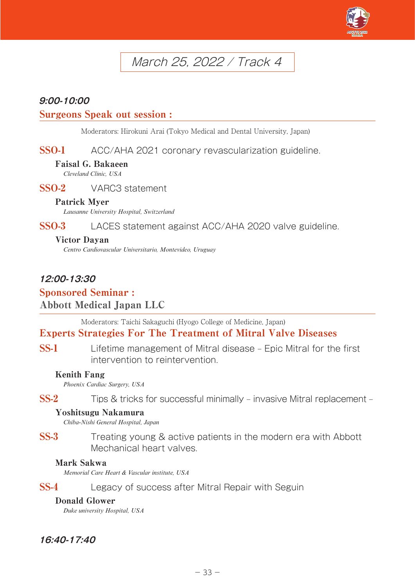

# March 25, 2022 / Track 4

# **9:00-10:00**

#### Surgeons Speak out session :

Moderators: Hirokuni Arai (Tokyo Medical and Dental University, Japan)

SSO-1 ACC/AHA 2021 coronary revascularization guideline.

#### Faisal G. Bakaeen

*Cleveland Clinic, USA*

SSO-2 VARC3 statement

#### Patrick Myer

*Lausanne University Hospital, Switzerland*

SSO-3 LACES statement against ACC/AHA 2020 valve guideline.

#### Victor Dayan

*Centro Cardiovascular Universitario, Montevideo, Uruguay*

# **12:00-13:30** Sponsored Seminar : Abbott Medical Japan LLC

Moderators: Taichi Sakaguchi (Hyogo College of Medicine, Japan)

# Experts Strategies For The Treatment of Mitral Valve Diseases

SS-1 Lifetime management of Mitral disease – Epic Mitral for the first intervention to reintervention.

#### Kenith Fang

*Phoenix Cardiac Surgery, USA*

SS-2 Tips & tricks for successful minimally – invasive Mitral replacement –

#### Yoshitsugu Nakamura

*Chiba-Nishi General Hospital, Japan*

SS-3 Treating young & active patients in the modern era with Abbott Mechanical heart valves.

#### Mark Sakwa

*Memorial Care Heart & Vascular institute, USA*

SS-4 Legacy of success after Mitral Repair with Seguin

#### Donald Glower

*Duke university Hospital, USA*

# **16:40-17:40**